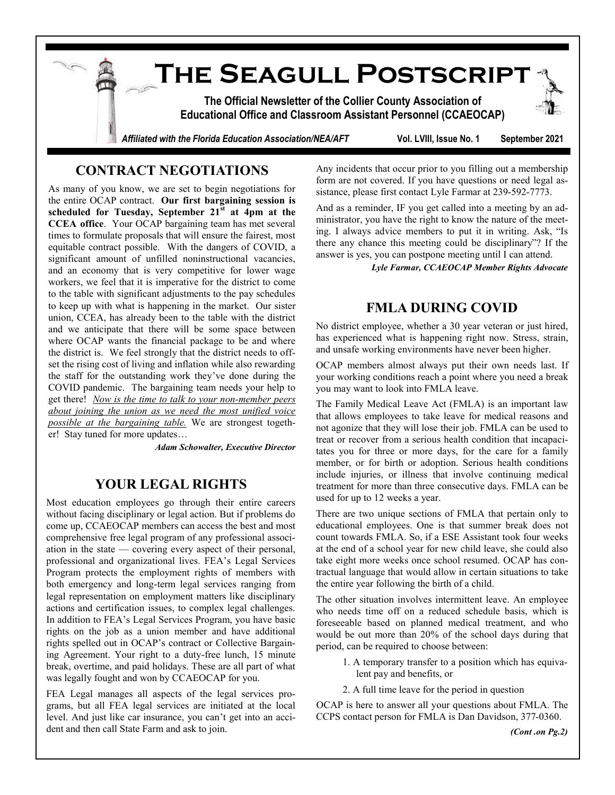**The Seagull Postscript The Official Newsletter of the Collier County Association of Educational Office and Classroom Assistant Personnel (CCAEOCAP)** *Affiliated with the Florida Education Association/NEA/AFT* **Vol. LVIII, Issue No. 1 September 2021**

## **CONTRACT NEGOTIATIONS**

As many of you know, we are set to begin negotiations for the entire OCAP contract. **Our first bargaining session is scheduled for Tuesday, September 21st at 4pm at the CCEA office**. Your OCAP bargaining team has met several times to formulate proposals that will ensure the fairest, most equitable contract possible. With the dangers of COVID, a significant amount of unfilled noninstructional vacancies, and an economy that is very competitive for lower wage workers, we feel that it is imperative for the district to come to the table with significant adjustments to the pay schedules to keep up with what is happening in the market. Our sister union, CCEA, has already been to the table with the district and we anticipate that there will be some space between where OCAP wants the financial package to be and where the district is. We feel strongly that the district needs to offset the rising cost of living and inflation while also rewarding the staff for the outstanding work they've done during the COVID pandemic. The bargaining team needs your help to get there! *Now is the time to talk to your non-member peers about joining the union as we need the most unified voice possible at the bargaining table.* We are strongest together! Stay tuned for more updates…

*Adam Schowalter, Executive Director*

## **YOUR LEGAL RIGHTS**

Most education employees go through their entire careers without facing disciplinary or legal action. But if problems do come up, CCAEOCAP members can access the best and most comprehensive free legal program of any professional association in the state — covering every aspect of their personal, professional and organizational lives. FEA's Legal Services Program protects the employment rights of members with both emergency and long-term legal services ranging from legal representation on employment matters like disciplinary actions and certification issues, to complex legal challenges. In addition to FEA's Legal Services Program, you have basic rights on the job as a union member and have additional rights spelled out in OCAP's contract or Collective Bargaining Agreement. Your right to a duty-free lunch, 15 minute break, overtime, and paid holidays. These are all part of what was legally fought and won by CCAEOCAP for you.

FEA Legal manages all aspects of the legal services programs, but all FEA legal services are initiated at the local level. And just like car insurance, you can't get into an accident and then call State Farm and ask to join.

Any incidents that occur prior to you filling out a membership form are not covered. If you have questions or need legal assistance, please first contact Lyle Farmar at 239-592-7773.

And as a reminder, IF you get called into a meeting by an administrator, you have the right to know the nature of the meeting. I always advice members to put it in writing. Ask, "Is there any chance this meeting could be disciplinary"? If the answer is yes, you can postpone meeting until I can attend.

*Lyle Farmar, CCAEOCAP Member Rights Advocate*

## **FMLA DURING COVID**

No district employee, whether a 30 year veteran or just hired, has experienced what is happening right now. Stress, strain, and unsafe working environments have never been higher.

OCAP members almost always put their own needs last. If your working conditions reach a point where you need a break you may want to look into FMLA leave.

The Family Medical Leave Act (FMLA) is an important law that allows employees to take leave for medical reasons and not agonize that they will lose their job. FMLA can be used to treat or recover from a serious health condition that incapacitates you for three or more days, for the care for a family member, or for birth or adoption. Serious health conditions include injuries, or illness that involve continuing medical treatment for more than three consecutive days. FMLA can be used for up to 12 weeks a year.

There are two unique sections of FMLA that pertain only to educational employees. One is that summer break does not count towards FMLA. So, if a ESE Assistant took four weeks at the end of a school year for new child leave, she could also take eight more weeks once school resumed. OCAP has contractual language that would allow in certain situations to take the entire year following the birth of a child.

The other situation involves intermittent leave. An employee who needs time off on a reduced schedule basis, which is foreseeable based on planned medical treatment, and who would be out more than 20% of the school days during that period, can be required to choose between:

- 1. A temporary transfer to a position which has equivalent pay and benefits, or
- 2. A full time leave for the period in question

OCAP is here to answer all your questions about FMLA. The CCPS contact person for FMLA is Dan Davidson, 377-0360.

*(Cont .on Pg.2)*